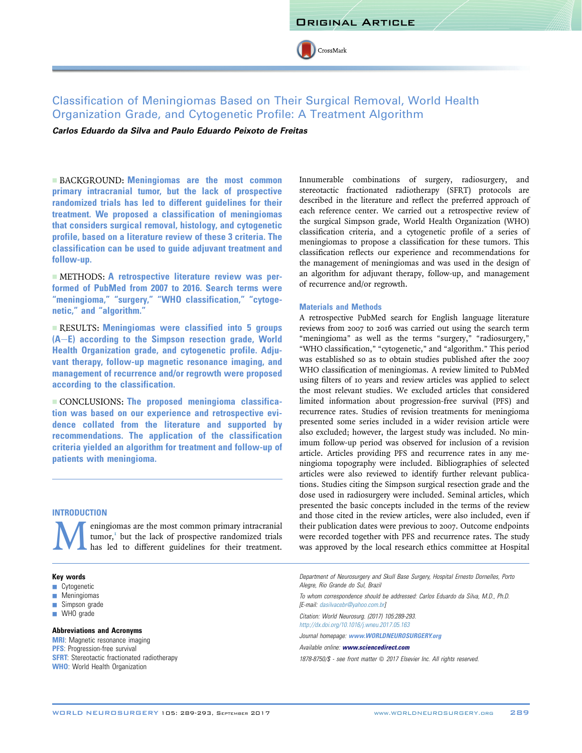

# Classification of Meningiomas Based on Their Surgical Removal, World Health Organization Grade, and Cytogenetic Profile: A Treatment Algorithm

Carlos Eduardo da Silva and Paulo Eduardo Peixoto de Freitas

**EXACKGROUND: Meningiomas are the most common** primary intracranial tumor, but the lack of prospective randomized trials has led to different guidelines for their treatment. We proposed a classification of meningiomas that considers surgical removal, histology, and cytogenetic profile, based on a literature review of these 3 criteria. The classification can be used to guide adjuvant treatment and follow-up.

- METHODS: A retrospective literature review was performed of PubMed from 2007 to 2016. Search terms were "meningioma," "surgery," "WHO classification," "cytogenetic," and "algorithm."

**EXECULTS: Meningiomas were classified into 5 groups**  $(A-E)$  according to the Simpson resection grade, World Health Organization grade, and cytogenetic profile. Adjuvant therapy, follow-up magnetic resonance imaging, and management of recurrence and/or regrowth were proposed according to the classification.

- CONCLUSIONS: The proposed meningioma classification was based on our experience and retrospective evidence collated from the literature and supported by recommendations. The application of the classification criteria yielded an algorithm for treatment and follow-up of patients with meningioma.

## **INTRODUCTION**

**M**eningi[om](#page-3-0)as are the most common primary intracranial tumor,<sup>1</sup> but the lack of prospective randomized trials has led to different guidelines for their treatment. tumor,<sup>1</sup> but the lack of prospective randomized trials has led to different guidelines for their treatment.

## Key words

- **Cytogenetic**
- **Meningiomas**
- $\blacksquare$  Simpson grade
- **WHO** grade

## Abbreviations and Acronyms

**MRI:** Magnetic resonance imaging **PFS:** Progression-free survival **SFRT:** Stereotactic fractionated radiotherapy WHO: World Health Organization

Innumerable combinations of surgery, radiosurgery, and stereotactic fractionated radiotherapy (SFRT) protocols are described in the literature and reflect the preferred approach of each reference center. We carried out a retrospective review of the surgical Simpson grade, World Health Organization (WHO) classification criteria, and a cytogenetic profile of a series of meningiomas to propose a classification for these tumors. This classification reflects our experience and recommendations for the management of meningiomas and was used in the design of an algorithm for adjuvant therapy, follow-up, and management of recurrence and/or regrowth.

#### Materials and Methods

A retrospective PubMed search for English language literature reviews from 2007 to 2016 was carried out using the search term "meningioma" as well as the terms "surgery," "radiosurgery," "WHO classification," "cytogenetic," and "algorithm." This period was established so as to obtain studies published after the 2007 WHO classification of meningiomas. A review limited to PubMed using filters of 10 years and review articles was applied to select the most relevant studies. We excluded articles that considered limited information about progression-free survival (PFS) and recurrence rates. Studies of revision treatments for meningioma presented some series included in a wider revision article were also excluded; however, the largest study was included. No minimum follow-up period was observed for inclusion of a revision article. Articles providing PFS and recurrence rates in any meningioma topography were included. Bibliographies of selected articles were also reviewed to identify further relevant publications. Studies citing the Simpson surgical resection grade and the dose used in radiosurgery were included. Seminal articles, which presented the basic concepts included in the terms of the review and those cited in the review articles, were also included, even if their publication dates were previous to 2007. Outcome endpoints were recorded together with PFS and recurrence rates. The study was approved by the local research ethics committee at Hospital

Department of Neurosurgery and Skull Base Surgery, Hospital Ernesto Dornelles, Porto Alegre, Rio Grande do Sul, Brazil

To whom correspondence should be addressed: Carlos Eduardo da Silva, M.D., Ph.D. [E-mail: [dasilvacebr@yahoo.com.br](mailto:dasilvacebr@yahoo.com.br)]

Citation: World Neurosurg. (2017) 105:289-293. <http://dx.doi.org/10.1016/j.wneu.2017.05.163>

Journal homepage: [www.WORLDNEUROSURGERY.org](http://www.WORLDNEUROSURGERY.org)

Available online: [www.sciencedirect.com](www.sciencedirect.com/science/journal/18788750)

1878-8750/\$ - see front matter © 2017 Elsevier Inc. All rights reserved.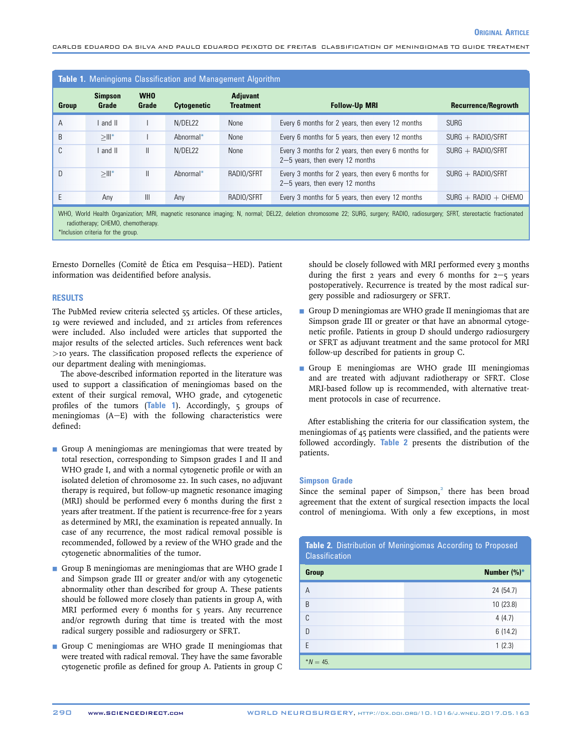<span id="page-1-0"></span>CARLOS EDUARDO DA SILVA AND PAULO EDUARDO PEIXOTO DE FREITAS CLASSIFICATION OF MENINGIOMAS TO GUIDE TREATMENT

| <b>Table 1.</b> Meningioma Classification and Management Algorithm                                                                                                             |                         |                     |                    |                                     |                                                                                          |                            |
|--------------------------------------------------------------------------------------------------------------------------------------------------------------------------------|-------------------------|---------------------|--------------------|-------------------------------------|------------------------------------------------------------------------------------------|----------------------------|
| <b>Group</b>                                                                                                                                                                   | <b>Simpson</b><br>Grade | <b>WHO</b><br>Grade | <b>Cytogenetic</b> | <b>Adjuvant</b><br><b>Treatment</b> | <b>Follow-Up MRI</b>                                                                     | <b>Recurrence/Regrowth</b> |
| A                                                                                                                                                                              | $ $ and $ $             |                     | N/DEL22            | None                                | Every 6 months for 2 years, then every 12 months                                         | <b>SURG</b>                |
| B                                                                                                                                                                              | $>   _*$                |                     | Abnormal*          | None                                | Every 6 months for 5 years, then every 12 months                                         | $SURG + RADIO/SFRT$        |
| ◡                                                                                                                                                                              | I and II                | $\mathbf{I}$        | N/DEL22            | None                                | Every 3 months for 2 years, then every 6 months for<br>$2-5$ years, then every 12 months | $SURG + RADIO/SFRT$        |
| D                                                                                                                                                                              | $>   _*$                | $\mathbf{I}$        | Abnormal*          | RADIO/SFRT                          | Every 3 months for 2 years, then every 6 months for<br>$2-5$ years, then every 12 months | $SURG + RADIO/SFRT$        |
|                                                                                                                                                                                | Any                     | $\mathbf{III}$      | Anv                | RADIO/SFRT                          | Every 3 months for 5 years, then every 12 months                                         | $SURG + RADIO + CHEMO$     |
| WHO, World Health Organization; MRI, magnetic resonance imaging; N, normal; DEL22, deletion chromosome 22; SURG, surgery; RADIO, radiosurgery; SFRT, stereotactic fractionated |                         |                     |                    |                                     |                                                                                          |                            |

radiotherapy; CHEMO, chemotherapy.

\*Inclusion criteria for the group.

Ernesto Dornelles (Comitê de Ética em Pesquisa-HED). Patient information was deidentified before analysis.

## **RESULTS**

The PubMed review criteria selected 55 articles. Of these articles, 19 were reviewed and included, and 21 articles from references were included. Also included were articles that supported the major results of the selected articles. Such references went back >10 years. The classification proposed reflects the experience of our department dealing with meningiomas.

The above-described information reported in the literature was used to support a classification of meningiomas based on the extent of their surgical removal, WHO grade, and cytogenetic profiles of the tumors (Table 1). Accordingly, 5 groups of meningiomas  $(A-E)$  with the following characteristics were defined:

- Group A meningiomas are meningiomas that were treated by total resection, corresponding to Simpson grades I and II and WHO grade I, and with a normal cytogenetic profile or with an isolated deletion of chromosome 22. In such cases, no adjuvant therapy is required, but follow-up magnetic resonance imaging (MRI) should be performed every 6 months during the first 2 years after treatment. If the patient is recurrence-free for 2 years as determined by MRI, the examination is repeated annually. In case of any recurrence, the most radical removal possible is recommended, followed by a review of the WHO grade and the cytogenetic abnormalities of the tumor.
- Group B meningiomas are meningiomas that are WHO grade I and Simpson grade III or greater and/or with any cytogenetic abnormality other than described for group A. These patients should be followed more closely than patients in group A, with MRI performed every 6 months for 5 years. Any recurrence and/or regrowth during that time is treated with the most radical surgery possible and radiosurgery or SFRT.
- Group C meningiomas are WHO grade II meningiomas that were treated with radical removal. They have the same favorable cytogenetic profile as defined for group A. Patients in group C

should be closely followed with MRI performed every 3 months during the first 2 years and every 6 months for  $2-\frac{2}{5}$  years postoperatively. Recurrence is treated by the most radical surgery possible and radiosurgery or SFRT.

- Group D meningiomas are WHO grade II meningiomas that are Simpson grade III or greater or that have an abnormal cytogenetic profile. Patients in group D should undergo radiosurgery or SFRT as adjuvant treatment and the same protocol for MRI follow-up described for patients in group C.
- Group E meningiomas are WHO grade III meningiomas and are treated with adjuvant radiotherapy or SFRT. Close MRI-based follow up is recommended, with alternative treatment protocols in case of recurrence.

After establishing the criteria for our classification system, the meningiomas of 45 patients were classified, and the patients were followed accordingly. Table 2 presents the distribution of the patients.

#### Simpson Grade

Since the seminal paper of Simpson, $2$  there has been broad agreement that the extent of surgical resection impacts the local control of meningioma. With only a few exceptions, in most

Table 2. Distribution of Meningiomas According to Proposed

| $\mathbf{u}$ , and the set of the set of $\mathbf{u}$<br><b>Classification</b> |             |  |  |  |  |
|--------------------------------------------------------------------------------|-------------|--|--|--|--|
| Group                                                                          | Number (%)* |  |  |  |  |
| A                                                                              | 24 (54.7)   |  |  |  |  |
| B                                                                              | 10 (23.8)   |  |  |  |  |
| C                                                                              | 4(4.7)      |  |  |  |  |
| D                                                                              | 6(14.2)     |  |  |  |  |
| E                                                                              | 1(2.3)      |  |  |  |  |
| $*N = 45.$                                                                     |             |  |  |  |  |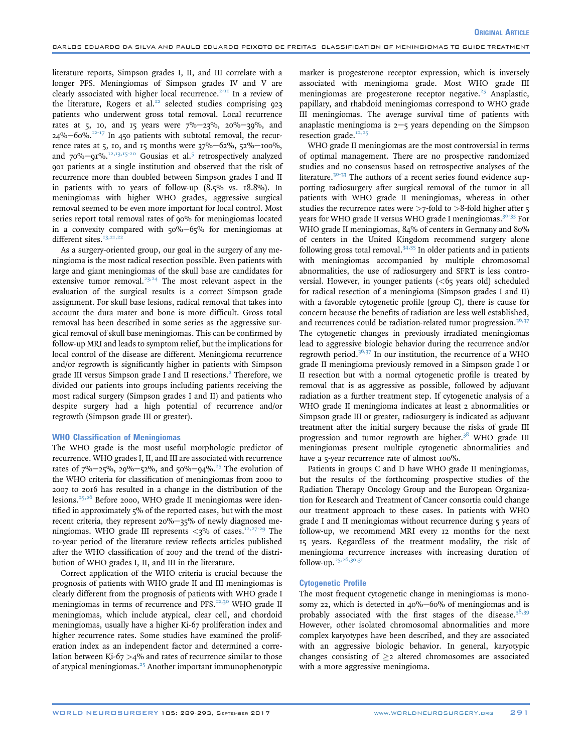literature reports, Simpson grades I, II, and III correlate with a longer PFS. Meningiomas of Simpson grades IV and V are clearly associated with higher local recurrence.<sup> $2$ -11</sup> In a review of the literature, Rogers et al.<sup>[12](#page-3-0)</sup> selected studies comprising 923 patients who underwent gross total removal. Local recurrence rates at 5, 10, and 15 years were  $7\% - 23\%$ , 20%-39%, and  $24\% - 60\%$ .<sup>[12-17](#page-3-0)</sup> In 450 patients with subtotal removal, the recurrence rates at 5, 10, and 15 months were  $37\% - 62\%$ ,  $52\% - 100\%$ , and  $70\%$ - $91\%$ .<sup>[12,13,15-20](#page-3-0)</sup> Gousias et al.<sup>[5](#page-3-0)</sup> retrospectively analyzed 901 patients at a single institution and observed that the risk of recurrence more than doubled between Simpson grades I and II in patients with 10 years of follow-up (8.5% vs. 18.8%). In meningiomas with higher WHO grades, aggressive surgical removal seemed to be even more important for local control. Most series report total removal rates of 90% for meningiomas located in a convexity compared with  $50\% - 65\%$  for meningiomas at different sites. $13,21,22$ 

As a surgery-oriented group, our goal in the surgery of any meningioma is the most radical resection possible. Even patients with large and giant meningiomas of the skull base are candidates for extensive tumor removal.<sup>[23,24](#page-4-0)</sup> The most relevant aspect in the evaluation of the surgical results is a correct Simpson grade assignment. For skull base lesions, radical removal that takes into account the dura mater and bone is more difficult. Gross total removal has been described in some series as the aggressive surgical removal of skull base meningiomas. This can be confirmed by follow-up MRI and leads to symptom relief, but the implications for local control of the disease are different. Meningioma recurrence and/or regrowth is significantly higher in patients with Simpson grade III versus Simpson grade I and II resections.<sup>[2](#page-3-0)</sup> Therefore, we divided our patients into groups including patients receiving the most radical surgery (Simpson grades I and II) and patients who despite surgery had a high potential of recurrence and/or regrowth (Simpson grade III or greater).

#### WHO Classification of Meningiomas

The WHO grade is the most useful morphologic predictor of recurrence. WHO grades I, II, and III are associated with recurrence rates of  $7\% - 25\%$ ,  $29\% - 52\%$ , and  $50\% - 94\%$ .<sup>25</sup> The evolution of the WHO criteria for classification of meningiomas from 2000 to 2007 to 2016 has resulted in a change in the distribution of the lesions. $25,26$  Before 2000, WHO grade II meningiomas were identified in approximately  $5\%$  of the reported cases, but with the most recent criteria, they represent  $20\% - 35\%$  of newly diagnosed meningiomas. WHO grade III represents  $\langle 3\%$  of cases.<sup>12,27-29</sup> The 10-year period of the literature review reflects articles published after the WHO classification of 2007 and the trend of the distribution of WHO grades I, II, and III in the literature.

Correct application of the WHO criteria is crucial because the prognosis of patients with WHO grade II and III meningiomas is clearly different from the prognosis of patients with WHO grade I meningiomas in terms of recurrence and PFS.<sup>[12,30](#page-3-0)</sup> WHO grade II meningiomas, which include atypical, clear cell, and chordoid meningiomas, usually have a higher Ki-67 proliferation index and higher recurrence rates. Some studies have examined the proliferation index as an independent factor and determined a correlation between Ki-67  $>4\%$  and rates of recurrence similar to those of atypical meningiomas.<sup>[25](#page-4-0)</sup> Another important immunophenotypic

marker is progesterone receptor expression, which is inversely associated with meningioma grade. Most WHO grade III meningiomas are progesterone receptor negative. $25$  Anaplastic, papillary, and rhabdoid meningiomas correspond to WHO grade III meningiomas. The average survival time of patients with anaplastic meningioma is  $2-\frac{1}{5}$  years depending on the Simpson resection grade.<sup>[12,25](#page-3-0)</sup>

WHO grade II meningiomas are the most controversial in terms of optimal management. There are no prospective randomized studies and no consensus based on retrospective analyses of the literature.<sup>[30-33](#page-4-0)</sup> The authors of a recent series found evidence supporting radiosurgery after surgical removal of the tumor in all patients with WHO grade II meningiomas, whereas in other studies the recurrence rates were  $>7$ -fold to  $>8$ -fold higher after  $\varsigma$ years for WHO grade II versus WHO grade I meningiomas.<sup>[30-33](#page-4-0)</sup> For WHO grade II meningiomas, 84% of centers in Germany and 80% of centers in the United Kingdom recommend surgery alone following gross total removal. $34,35$  In older patients and in patients with meningiomas accompanied by multiple chromosomal abnormalities, the use of radiosurgery and SFRT is less controversial. However, in younger patients  $(<$  65 years old) scheduled for radical resection of a meningioma (Simpson grades I and II) with a favorable cytogenetic profile (group C), there is cause for concern because the benefits of radiation are less well established, and recurrences could be radiation-related tumor progression. $36,37$ The cytogenetic changes in previously irradiated meningiomas lead to aggressive biologic behavior during the recurrence and/or regrowth period. $36,37$  In our institution, the recurrence of a WHO grade II meningioma previously removed in a Simpson grade I or II resection but with a normal cytogenetic profile is treated by removal that is as aggressive as possible, followed by adjuvant radiation as a further treatment step. If cytogenetic analysis of a WHO grade II meningioma indicates at least 2 abnormalities or Simpson grade III or greater, radiosurgery is indicated as adjuvant treatment after the initial surgery because the risks of grade III progression and tumor regrowth are higher. $38$  WHO grade III meningiomas present multiple cytogenetic abnormalities and have a 5-year recurrence rate of almost 100%.

Patients in groups C and D have WHO grade II meningiomas, but the results of the forthcoming prospective studies of the Radiation Therapy Oncology Group and the European Organization for Research and Treatment of Cancer consortia could change our treatment approach to these cases. In patients with WHO grade I and II meningiomas without recurrence during 5 years of follow-up, we recommend MRI every 12 months for the next 15 years. Regardless of the treatment modality, the risk of meningioma recurrence increases with increasing duration of follow-up. $25,26,30,31$ 

#### Cytogenetic Profile

The most frequent cytogenetic change in meningiomas is monosomy 22, which is detected in  $40\% - 60\%$  of meningiomas and is probably associated with the first stages of the disease.<sup>[38,39](#page-4-0)</sup> However, other isolated chromosomal abnormalities and more complex karyotypes have been described, and they are associated with an aggressive biologic behavior. In general, karyotypic changes consisting of  $\geq$  altered chromosomes are associated with a more aggressive meningioma.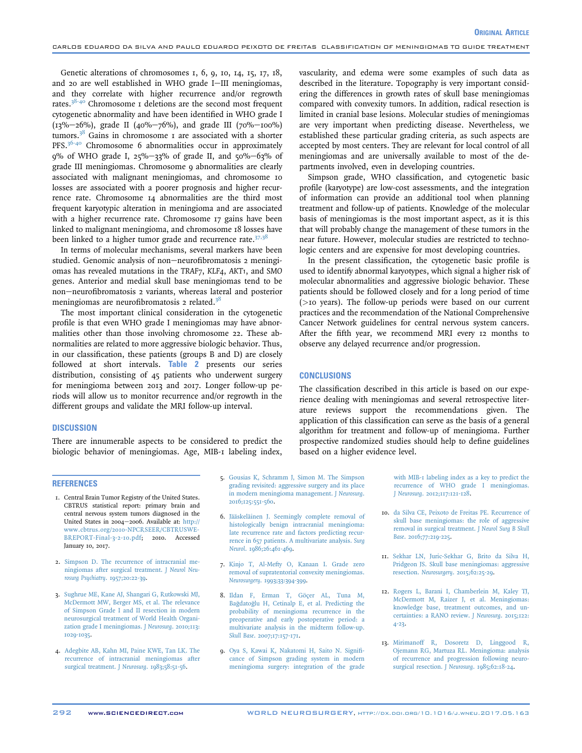<span id="page-3-0"></span>Genetic alterations of chromosomes 1, 6, 9, 10, 14, 15, 17, 18, and 20 are well established in WHO grade I-III meningiomas, and they correlate with higher recurrence and/or regrowth rates.<sup>[38-40](#page-4-0)</sup> Chromosome 1 deletions are the second most frequent cytogenetic abnormality and have been identified in WHO grade I  $(13\% - 26\%)$ , grade II (40%-76%), and grade III (70%-100%) tumors.<sup>[38](#page-4-0)</sup> Gains in chromosome  $\bar{x}$  are associated with a shorter PFS.<sup>[36-40](#page-4-0)</sup> Chromosome 6 abnormalities occur in approximately 9% of WHO grade I, 25%-33% of grade II, and 50%-63% of grade III meningiomas. Chromosome 9 abnormalities are clearly associated with malignant meningiomas, and chromosome 10 losses are associated with a poorer prognosis and higher recurrence rate. Chromosome 14 abnormalities are the third most frequent karyotypic alteration in meningioma and are associated with a higher recurrence rate. Chromosome 17 gains have been linked to malignant meningioma, and chromosome 18 losses have been linked to a higher tumor grade and recurrence rate. $37,38$ 

In terms of molecular mechanisms, several markers have been studied. Genomic analysis of non-neurofibromatosis 2 meningiomas has revealed mutations in the TRAF7, KLF4, AKT1, and SMO genes. Anterior and medial skull base meningiomas tend to be non-neurofibromatosis 2 variants, whereas lateral and posterior meningiomas are neurofibromatosis 2 related.<sup>[38](#page-4-0)</sup>

The most important clinical consideration in the cytogenetic profile is that even WHO grade I meningiomas may have abnormalities other than those involving chromosome 22. These abnormalities are related to more aggressive biologic behavior. Thus, in our classification, these patients (groups B and D) are closely followed at short intervals. [Table 2](#page-1-0) presents our series distribution, consisting of 45 patients who underwent surgery for meningioma between 2013 and 2017. Longer follow-up periods will allow us to monitor recurrence and/or regrowth in the different groups and validate the MRI follow-up interval.

### **DISCUSSION**

There are innumerable aspects to be considered to predict the biologic behavior of meningiomas. Age, MIB-1 labeling index,

#### REFERENCES

- 1. Central Brain Tumor Registry of the United States. CBTRUS statistical report: primary brain and central nervous system tumors diagnosed in the United States in 2004-2006. Available at: [http://](http://www.cbtrus.org/2010-NPCRSEER/CBTRUSWEBREPORT-Final-3-2-10.pdf) [www.cbtrus.org/2010-NPCRSEER/CBTRUSWE-](http://www.cbtrus.org/2010-NPCRSEER/CBTRUSWEBREPORT-Final-3-2-10.pdf)[BREPORT-Final-3-2-10.pdf;](http://www.cbtrus.org/2010-NPCRSEER/CBTRUSWEBREPORT-Final-3-2-10.pdf) 2010. Accessed January 10, 2017.
- 2. [Simpson D. The recurrence of intracranial me](http://refhub.elsevier.com/S1878-8750(17)30865-3/sref2)[ningiomas after surgical treatment.](http://refhub.elsevier.com/S1878-8750(17)30865-3/sref2) J Neurol Neu[rosurg Psychiatry](http://refhub.elsevier.com/S1878-8750(17)30865-3/sref2). 1957;20:22-39.
- 3. [Sughrue ME, Kane AJ, Shangari G, Rutkowski MJ,](http://refhub.elsevier.com/S1878-8750(17)30865-3/sref3) [McDermott MW, Berger MS, et al. The relevance](http://refhub.elsevier.com/S1878-8750(17)30865-3/sref3) [of Simpson Grade I and II resection in modern](http://refhub.elsevier.com/S1878-8750(17)30865-3/sref3) [neurosurgical treatment of World Health Organi](http://refhub.elsevier.com/S1878-8750(17)30865-3/sref3)[zation grade I meningiomas.](http://refhub.elsevier.com/S1878-8750(17)30865-3/sref3) J Neurosurg. 2010;113: [1029-1035.](http://refhub.elsevier.com/S1878-8750(17)30865-3/sref3)
- 4. [Adegbite AB, Kahn MI, Paine KWE, Tan LK. The](http://refhub.elsevier.com/S1878-8750(17)30865-3/sref4) [recurrence of intracranial meningiomas after](http://refhub.elsevier.com/S1878-8750(17)30865-3/sref4) [surgical treatment.](http://refhub.elsevier.com/S1878-8750(17)30865-3/sref4) J Neurosurg. 1983;58:51-56.
- 5. [Gousias K, Schramm J, Simon M. The Simpson](http://refhub.elsevier.com/S1878-8750(17)30865-3/sref5) [grading revisited: aggressive surgery and its place](http://refhub.elsevier.com/S1878-8750(17)30865-3/sref5) [in modern meningioma management.](http://refhub.elsevier.com/S1878-8750(17)30865-3/sref5) J Neurosurg. [2016;125:551-560.](http://refhub.elsevier.com/S1878-8750(17)30865-3/sref5)
- 6. [Jääskeläinen J. Seemingly complete removal of](http://refhub.elsevier.com/S1878-8750(17)30865-3/sref6) [histologically benign intracranial meningioma:](http://refhub.elsevier.com/S1878-8750(17)30865-3/sref6) [late recurrence rate and factors predicting recur](http://refhub.elsevier.com/S1878-8750(17)30865-3/sref6)[rence in 657 patients. A multivariate analysis.](http://refhub.elsevier.com/S1878-8750(17)30865-3/sref6) Surg Neurol[. 1986;26:461-469.](http://refhub.elsevier.com/S1878-8750(17)30865-3/sref6)
- 7. [Kinjo T, Al-Mefty O, Kanaan I. Grade zero](http://refhub.elsevier.com/S1878-8750(17)30865-3/sref7) [removal of supratentorial convexity meningiomas.](http://refhub.elsevier.com/S1878-8750(17)30865-3/sref7) Neurosurgery[. 1993;33:394-399.](http://refhub.elsevier.com/S1878-8750(17)30865-3/sref7)
- 8. [Ildan F, Erman T, Göçer AL, Tuna M,](http://refhub.elsevier.com/S1878-8750(17)30865-3/sref8) [Ba](http://refhub.elsevier.com/S1878-8750(17)30865-3/sref8)g[dato](http://refhub.elsevier.com/S1878-8750(17)30865-3/sref8)g[lu H, Cetinalp E, et al. Predicting the](http://refhub.elsevier.com/S1878-8750(17)30865-3/sref8) [probability of meningioma recurrence in the](http://refhub.elsevier.com/S1878-8750(17)30865-3/sref8) [preoperative and early postoperative period: a](http://refhub.elsevier.com/S1878-8750(17)30865-3/sref8) [multivariate analysis in the midterm follow-up.](http://refhub.elsevier.com/S1878-8750(17)30865-3/sref8) Skull Base[. 2007;17:157-171](http://refhub.elsevier.com/S1878-8750(17)30865-3/sref8).
- 9. [Oya S, Kawai K, Nakatomi H, Saito N. Signi](http://refhub.elsevier.com/S1878-8750(17)30865-3/sref9)fi[cance of Simpson grading system in modern](http://refhub.elsevier.com/S1878-8750(17)30865-3/sref9) [meningioma surgery: integration of the grade](http://refhub.elsevier.com/S1878-8750(17)30865-3/sref9)

vascularity, and edema were some examples of such data as described in the literature. Topography is very important considering the differences in growth rates of skull base meningiomas compared with convexity tumors. In addition, radical resection is limited in cranial base lesions. Molecular studies of meningiomas are very important when predicting disease. Nevertheless, we established these particular grading criteria, as such aspects are accepted by most centers. They are relevant for local control of all meningiomas and are universally available to most of the departments involved, even in developing countries.

Simpson grade, WHO classification, and cytogenetic basic profile (karyotype) are low-cost assessments, and the integration of information can provide an additional tool when planning treatment and follow-up of patients. Knowledge of the molecular basis of meningiomas is the most important aspect, as it is this that will probably change the management of these tumors in the near future. However, molecular studies are restricted to technologic centers and are expensive for most developing countries.

In the present classification, the cytogenetic basic profile is used to identify abnormal karyotypes, which signal a higher risk of molecular abnormalities and aggressive biologic behavior. These patients should be followed closely and for a long period of time (>10 years). The follow-up periods were based on our current practices and the recommendation of the National Comprehensive Cancer Network guidelines for central nervous system cancers. After the fifth year, we recommend MRI every 12 months to observe any delayed recurrence and/or progression.

## **CONCLUSIONS**

The classification described in this article is based on our experience dealing with meningiomas and several retrospective literature reviews support the recommendations given. The application of this classification can serve as the basis of a general algorithm for treatment and follow-up of meningioma. Further prospective randomized studies should help to define guidelines based on a higher evidence level.

> [with MIB-1 labeling index as a key to predict the](http://refhub.elsevier.com/S1878-8750(17)30865-3/sref9) [recurrence of WHO grade I meningiomas.](http://refhub.elsevier.com/S1878-8750(17)30865-3/sref9) J Neurosurg[. 2012;117:121-128](http://refhub.elsevier.com/S1878-8750(17)30865-3/sref9).

- 10. [da Silva CE, Peixoto de Freitas PE. Recurrence of](http://refhub.elsevier.com/S1878-8750(17)30865-3/sref10) [skull base meningiomas: the role of aggressive](http://refhub.elsevier.com/S1878-8750(17)30865-3/sref10) [removal in surgical treatment.](http://refhub.elsevier.com/S1878-8750(17)30865-3/sref10) J Neurol Surg B Skull Base[. 2016;77:219-225.](http://refhub.elsevier.com/S1878-8750(17)30865-3/sref10)
- 11. [Sekhar LN, Juric-Sekhar G, Brito da Silva H,](http://refhub.elsevier.com/S1878-8750(17)30865-3/sref11) [Pridgeon JS. Skull base meningiomas: aggressive](http://refhub.elsevier.com/S1878-8750(17)30865-3/sref11) resection. Neurosurgery[. 2015;62:25-29.](http://refhub.elsevier.com/S1878-8750(17)30865-3/sref11)
- 12. [Rogers L, Barani I, Chamberlein M, Kaley TJ,](http://refhub.elsevier.com/S1878-8750(17)30865-3/sref12) [McDermott M, Raizer J, et al. Meningiomas:](http://refhub.elsevier.com/S1878-8750(17)30865-3/sref12) [knowledge base, treatment outcomes, and un](http://refhub.elsevier.com/S1878-8750(17)30865-3/sref12)[certainties: a RANO review.](http://refhub.elsevier.com/S1878-8750(17)30865-3/sref12) J Neurosurg. 2015;122: [4-23.](http://refhub.elsevier.com/S1878-8750(17)30865-3/sref12)
- 13. [Mirimanoff R, Dosoretz D, Linggood R,](http://refhub.elsevier.com/S1878-8750(17)30865-3/sref13) [Ojemann RG, Martuza RL. Meningioma: analysis](http://refhub.elsevier.com/S1878-8750(17)30865-3/sref13) [of recurrence and progression following neuro](http://refhub.elsevier.com/S1878-8750(17)30865-3/sref13)[surgical resection.](http://refhub.elsevier.com/S1878-8750(17)30865-3/sref13) J Neurosurg. 1985;62:18-24.